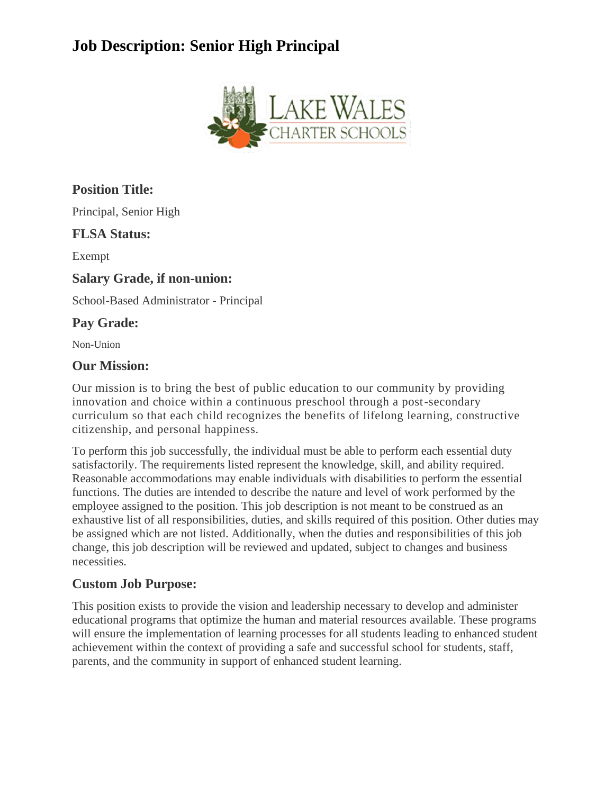

## **Position Title:**

Principal, Senior High

### **FLSA Status:**

Exempt

#### **Salary Grade, if non-union:**

School-Based Administrator - Principal

## **Pay Grade:**

Non-Union

### **Our Mission:**

Our mission is to bring the best of public education to our community by providing innovation and choice within a continuous preschool through a post-secondary curriculum so that each child recognizes the benefits of lifelong learning, constructive citizenship, and personal happiness.

To perform this job successfully, the individual must be able to perform each essential duty satisfactorily. The requirements listed represent the knowledge, skill, and ability required. Reasonable accommodations may enable individuals with disabilities to perform the essential functions. The duties are intended to describe the nature and level of work performed by the employee assigned to the position. This job description is not meant to be construed as an exhaustive list of all responsibilities, duties, and skills required of this position. Other duties may be assigned which are not listed. Additionally, when the duties and responsibilities of this job change, this job description will be reviewed and updated, subject to changes and business necessities.

## **Custom Job Purpose:**

This position exists to provide the vision and leadership necessary to develop and administer educational programs that optimize the human and material resources available. These programs will ensure the implementation of learning processes for all students leading to enhanced student achievement within the context of providing a safe and successful school for students, staff, parents, and the community in support of enhanced student learning.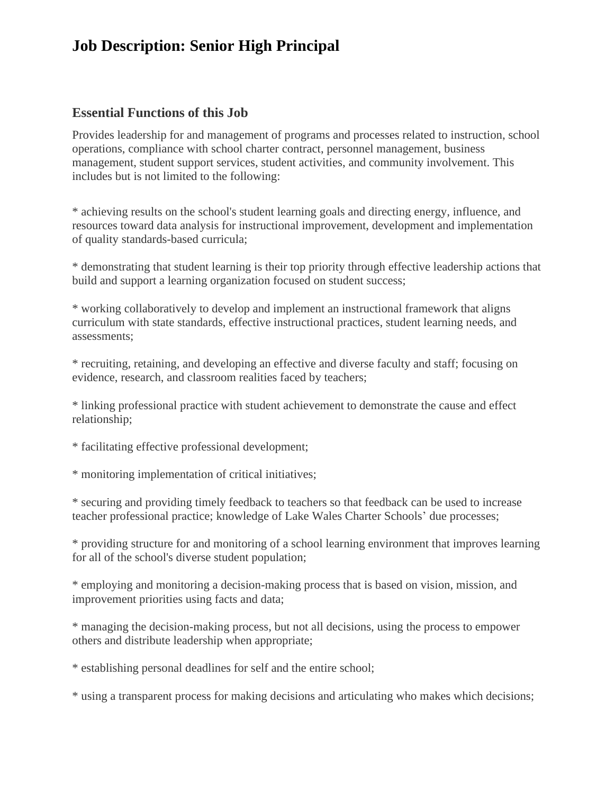#### **Essential Functions of this Job**

Provides leadership for and management of programs and processes related to instruction, school operations, compliance with school charter contract, personnel management, business management, student support services, student activities, and community involvement. This includes but is not limited to the following:

\* achieving results on the school's student learning goals and directing energy, influence, and resources toward data analysis for instructional improvement, development and implementation of quality standards-based curricula;

\* demonstrating that student learning is their top priority through effective leadership actions that build and support a learning organization focused on student success;

\* working collaboratively to develop and implement an instructional framework that aligns curriculum with state standards, effective instructional practices, student learning needs, and assessments;

\* recruiting, retaining, and developing an effective and diverse faculty and staff; focusing on evidence, research, and classroom realities faced by teachers;

\* linking professional practice with student achievement to demonstrate the cause and effect relationship;

\* facilitating effective professional development;

\* monitoring implementation of critical initiatives;

\* securing and providing timely feedback to teachers so that feedback can be used to increase teacher professional practice; knowledge of Lake Wales Charter Schools' due processes;

\* providing structure for and monitoring of a school learning environment that improves learning for all of the school's diverse student population;

\* employing and monitoring a decision-making process that is based on vision, mission, and improvement priorities using facts and data;

\* managing the decision-making process, but not all decisions, using the process to empower others and distribute leadership when appropriate;

\* establishing personal deadlines for self and the entire school;

\* using a transparent process for making decisions and articulating who makes which decisions;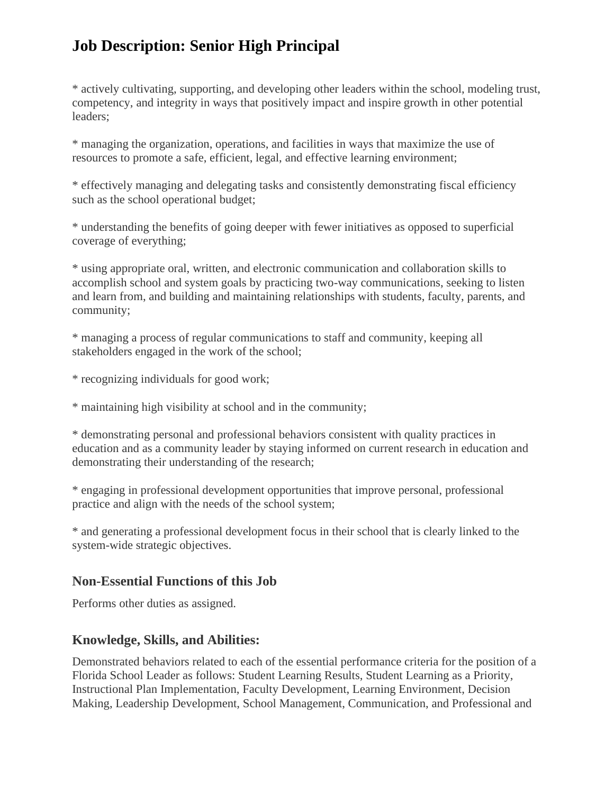\* actively cultivating, supporting, and developing other leaders within the school, modeling trust, competency, and integrity in ways that positively impact and inspire growth in other potential leaders;

\* managing the organization, operations, and facilities in ways that maximize the use of resources to promote a safe, efficient, legal, and effective learning environment;

\* effectively managing and delegating tasks and consistently demonstrating fiscal efficiency such as the school operational budget;

\* understanding the benefits of going deeper with fewer initiatives as opposed to superficial coverage of everything;

\* using appropriate oral, written, and electronic communication and collaboration skills to accomplish school and system goals by practicing two-way communications, seeking to listen and learn from, and building and maintaining relationships with students, faculty, parents, and community;

\* managing a process of regular communications to staff and community, keeping all stakeholders engaged in the work of the school;

\* recognizing individuals for good work;

\* maintaining high visibility at school and in the community;

\* demonstrating personal and professional behaviors consistent with quality practices in education and as a community leader by staying informed on current research in education and demonstrating their understanding of the research;

\* engaging in professional development opportunities that improve personal, professional practice and align with the needs of the school system;

\* and generating a professional development focus in their school that is clearly linked to the system-wide strategic objectives.

#### **Non-Essential Functions of this Job**

Performs other duties as assigned.

#### **Knowledge, Skills, and Abilities:**

Demonstrated behaviors related to each of the essential performance criteria for the position of a Florida School Leader as follows: Student Learning Results, Student Learning as a Priority, Instructional Plan Implementation, Faculty Development, Learning Environment, Decision Making, Leadership Development, School Management, Communication, and Professional and